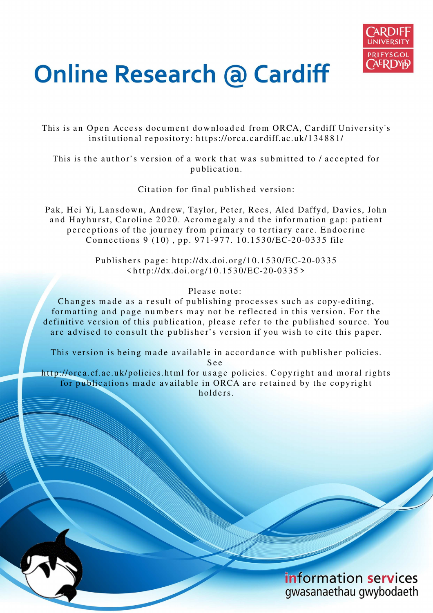

# **Online Research @ Cardiff**

This is an Open Access document downloaded from ORCA, Cardiff University's institutional repository: https://orca.cardiff.ac.uk/134881/

This is the author's version of a work that was submitted to / accepted for p u blication.

Citation for final published version:

Pak, Hei Yi, Lansdown, Andrew, Taylor, Peter, Rees, Aled Daffyd, Davies, John and Hayhurst, Caroline 2020. Acromegaly and the information gap: patient perceptions of the journey from primary to tertiary care. Endocrine Connections 9 (10), pp. 971-977. 10.1530/EC-20-0335 file

> Publishers page: http://dx.doi.org/10.1530/EC-20-0335  $\langle http://dx.doi.org/10.1530/EC-20-0335\rangle$

> > Please note:

Changes made as a result of publishing processes such as copy-editing, formatting and page numbers may not be reflected in this version. For the definitive version of this publication, please refer to the published source. You are advised to consult the publisher's version if you wish to cite this paper.

This version is being made available in accordance with publisher policies.

S e e

http://orca.cf.ac.uk/policies.html for usage policies. Copyright and moral rights for publications made available in ORCA are retained by the copyright holders

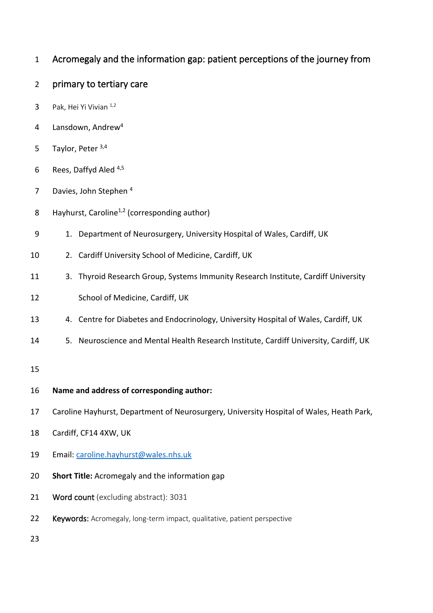- Acromegaly and the information gap: patient perceptions of the journey from
- primary to tertiary care
- 3 Pak, Hei Yi Vivian  $1,2$
- 4 Lansdown, Andrew<sup>4</sup>
- 5 Taylor, Peter  $3,4$
- 6 Rees, Daffyd Aled  $4,5$
- 7 Davies, John Stephen
- 8 Hayhurst, Caroline<sup>1,2</sup> (corresponding author)
- 9 1. Department of Neurosurgery, University Hospital of Wales, Cardiff, UK
- 2. Cardiff University School of Medicine, Cardiff, UK
- 3. Thyroid Research Group, Systems Immunity Research Institute, Cardiff University
- School of Medicine, Cardiff, UK
- 4. Centre for Diabetes and Endocrinology, University Hospital of Wales, Cardiff, UK
- 5. Neuroscience and Mental Health Research Institute, Cardiff University, Cardiff, UK
- 
- **Name and address of corresponding author:**
- Caroline Hayhurst, Department of Neurosurgery, University Hospital of Wales, Heath Park,
- Cardiff, CF14 4XW, UK
- Email: [caroline.hayhurst@wales.nhs.uk](mailto:caroline.hayhurst@wales.nhs.uk)
- **Short Title:** Acromegaly and the information gap
- 21 Word count (excluding abstract): 3031
- 22 Keywords: Acromegaly, long-term impact, qualitative, patient perspective
-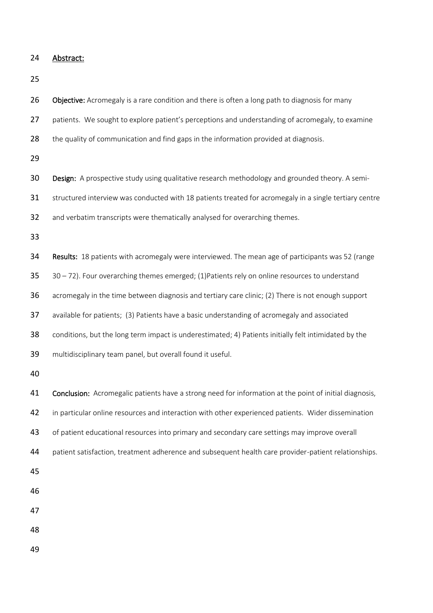24 Abstract:

25

26 Objective: Acromegaly is a rare condition and there is often a long path to diagnosis for many 27 patients. We sought to explore patient's perceptions and understanding of acromegaly, to examine 28 the quality of communication and find gaps in the information provided at diagnosis. 29 30 Design: A prospective study using qualitative research methodology and grounded theory. A semi-31 structured interview was conducted with 18 patients treated for acromegaly in a single tertiary centre 32 and verbatim transcripts were thematically analysed for overarching themes. 33 34 Results: 18 patients with acromegaly were interviewed. The mean age of participants was 52 (range  $35$   $30 - 72$ ). Four overarching themes emerged; (1)Patients rely on online resources to understand 36 acromegaly in the time between diagnosis and tertiary care clinic; (2) There is not enough support 37 available for patients; (3) Patients have a basic understanding of acromegaly and associated 38 conditions, but the long term impact is underestimated; 4) Patients initially felt intimidated by the 39 multidisciplinary team panel, but overall found it useful. 40 41 Conclusion: Acromegalic patients have a strong need for information at the point of initial diagnosis, 42 in particular online resources and interaction with other experienced patients. Wider dissemination 43 of patient educational resources into primary and secondary care settings may improve overall 44 patient satisfaction, treatment adherence and subsequent health care provider-patient relationships. 45 46 47 48 49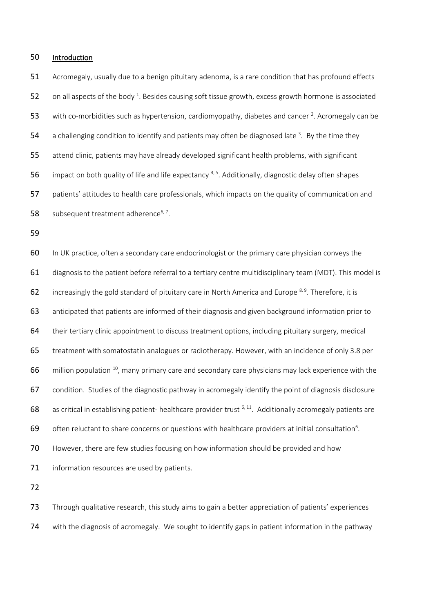#### Introduction

 Acromegaly, usually due to a benign pituitary adenoma, is a rare condition that has profound effects 52 on all aspects of the body . Besides causing soft tissue growth, excess growth hormone is associated 53 with co-morbidities such as hypertension, cardiomyopathy, diabetes and cancer . Acromegaly can be 54 a challenging condition to identify and patients may often be diagnosed late 3. By the time they attend clinic, patients may have already developed significant health problems, with significant 56 impact on both quality of life and life expectancy  $4,5$ . Additionally, diagnostic delay often shapes patients' attitudes to health care professionals, which impacts on the quality of communication and 58 subsequent treatment adherence $6, 7$ .

60 In UK practice, often a secondary care endocrinologist or the primary care physician conveys the diagnosis to the patient before referral to a tertiary centre multidisciplinary team (MDT). This model is 62 increasingly the gold standard of pituitary care in North America and Europe  $8,9$ . Therefore, it is anticipated that patients are informed of their diagnosis and given background information prior to their tertiary clinic appointment to discuss treatment options, including pituitary surgery, medical treatment with somatostatin analogues or radiotherapy. However, with an incidence of only 3.8 per million population <sup>10</sup>, many primary care and secondary care physicians may lack experience with the condition. Studies of the diagnostic pathway in acromegaly identify the point of diagnosis disclosure 68 as critical in establishing patient- healthcare provider trust  $6, 11$ . Additionally acromegaly patients are 69 often reluctant to share concerns or questions with healthcare providers at initial consultation<sup>6</sup>. 70 However, there are few studies focusing on how information should be provided and how 71 information resources are used by patients.

 Through qualitative research, this study aims to gain a better appreciation of patients' experiences with the diagnosis of acromegaly. We sought to identify gaps in patient information in the pathway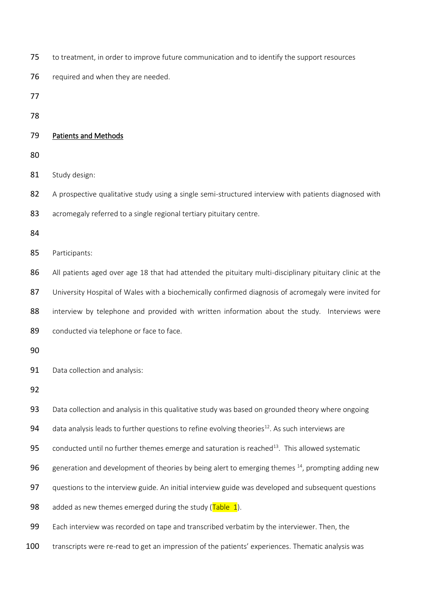- 75 to treatment, in order to improve future communication and to identify the support resources
- 76 required and when they are needed.
- 77
- 78

# 79 Patients and Methods

- 80
- 81 Study design:
- 82 A prospective qualitative study using a single semi-structured interview with patients diagnosed with
- 83 acromegaly referred to a single regional tertiary pituitary centre.
- 84
- 85 Participants:
- 86 All patients aged over age 18 that had attended the pituitary multi-disciplinary pituitary clinic at the 87 University Hospital of Wales with a biochemically confirmed diagnosis of acromegaly were invited for
- 88 interview by telephone and provided with written information about the study. Interviews were
- 89 conducted via telephone or face to face.
- 90

91 Data collection and analysis:

92

93 Data collection and analysis in this qualitative study was based on grounded theory where ongoing

- 94  $\phantom{1}$  data analysis leads to further questions to refine evolving theories<sup>12</sup>. As such interviews are
- 95 conducted until no further themes emerge and saturation is reached<sup>13</sup>. This allowed systematic
- 96 generation and development of theories by being alert to emerging themes  $^{14}$ , prompting adding new
- 97 questions to the interview guide. An initial interview guide was developed and subsequent questions
- 98 added as new themes emerged during the study  $(Table 1)$ .
- 99 Each interview was recorded on tape and transcribed verbatim by the interviewer. Then, the
- 100 transcripts were re-read to get an impression of the patients' experiences. Thematic analysis was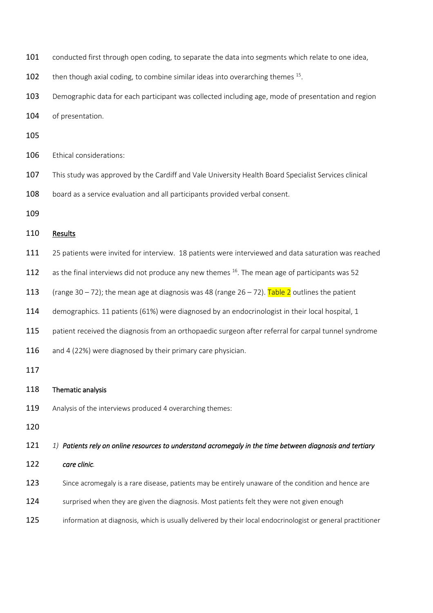- 101 conducted first through open coding, to separate the data into segments which relate to one idea,
- 102 then though axial coding, to combine similar ideas into overarching themes  $15$ .
- 103 Demographic data for each participant was collected including age, mode of presentation and region
- 104 of presentation.
- 105

106 Ethical considerations:

- 107 This study was approved by the Cardiff and Vale University Health Board Specialist Services clinical
- 108 board as a service evaluation and all participants provided verbal consent.
- 109

## 110 Results

- 111 25 patients were invited for interview. 18 patients were interviewed and data saturation was reached
- 112 as the final interviews did not produce any new themes  $^{16}$ . The mean age of participants was 52
- 113 (range 30 72); the mean age at diagnosis was 48 (range  $26 72$ ). Table 2 outlines the patient
- 114 demographics. 11 patients (61%) were diagnosed by an endocrinologist in their local hospital, 1
- 115 patient received the diagnosis from an orthopaedic surgeon after referral for carpal tunnel syndrome
- 116 and 4 (22%) were diagnosed by their primary care physician.
- 117

### 118 Thematic analysis

- 119 Analysis of the interviews produced 4 overarching themes:
- 120

121 *1) Patients rely on online resources to understand acromegaly in the time between diagnosis and tertiary* 

- 122 *care clinic.*
- 123 Since acromegaly is a rare disease, patients may be entirely unaware of the condition and hence are
- 124 surprised when they are given the diagnosis. Most patients felt they were not given enough
- 125 information at diagnosis, which is usually delivered by their local endocrinologist or general practitioner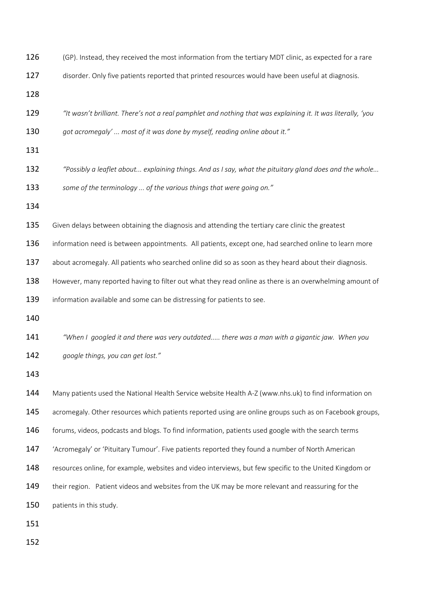| 126 | (GP). Instead, they received the most information from the tertiary MDT clinic, as expected for a rare       |
|-----|--------------------------------------------------------------------------------------------------------------|
| 127 | disorder. Only five patients reported that printed resources would have been useful at diagnosis.            |
| 128 |                                                                                                              |
| 129 | "It wasn't brilliant. There's not a real pamphlet and nothing that was explaining it. It was literally, 'you |
| 130 | got acromegaly'  most of it was done by myself, reading online about it."                                    |
| 131 |                                                                                                              |
| 132 | "Possibly a leaflet about explaining things. And as I say, what the pituitary gland does and the whole       |
| 133 | some of the terminology  of the various things that were going on."                                          |
| 134 |                                                                                                              |
| 135 | Given delays between obtaining the diagnosis and attending the tertiary care clinic the greatest             |
| 136 | information need is between appointments. All patients, except one, had searched online to learn more        |
| 137 | about acromegaly. All patients who searched online did so as soon as they heard about their diagnosis.       |
| 138 | However, many reported having to filter out what they read online as there is an overwhelming amount of      |
| 139 | information available and some can be distressing for patients to see.                                       |
| 140 |                                                                                                              |
| 141 | "When I googled it and there was very outdated there was a man with a gigantic jaw. When you                 |
| 142 | google things, you can get lost."                                                                            |
| 143 |                                                                                                              |
| 144 | Many patients used the National Health Service website Health A-Z (www.nhs.uk) to find information on        |
| 145 | acromegaly. Other resources which patients reported using are online groups such as on Facebook groups,      |
| 146 | forums, videos, podcasts and blogs. To find information, patients used google with the search terms          |
| 147 | 'Acromegaly' or 'Pituitary Tumour'. Five patients reported they found a number of North American             |
| 148 | resources online, for example, websites and video interviews, but few specific to the United Kingdom or      |
| 149 | their region. Patient videos and websites from the UK may be more relevant and reassuring for the            |
| 150 | patients in this study.                                                                                      |
| 151 |                                                                                                              |
| 152 |                                                                                                              |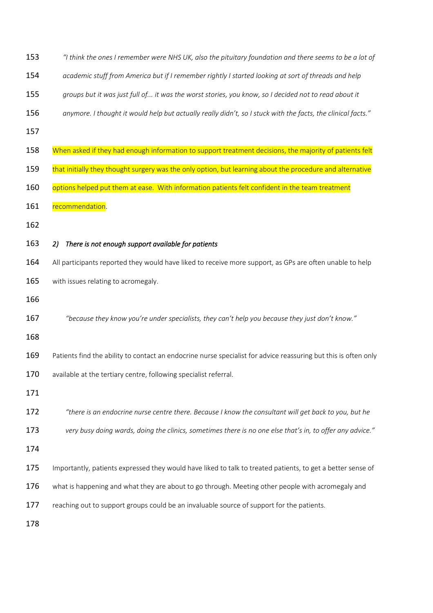| 153<br>$\degree$ think the ones I remember were NHS UK, also the pituitary foundation and there seems to be a lot of |  |
|----------------------------------------------------------------------------------------------------------------------|--|
|----------------------------------------------------------------------------------------------------------------------|--|

- *academic stuff from America but if I remember rightly I started looking at sort of threads and help*
- *groups but it was just full of... it was the worst stories, you know, so I decided not to read about it*
- *anymore. I thought it would help but actually really didn't, so I stuck with the facts, the clinical facts."*
- 
- 158 When asked if they had enough information to support treatment decisions, the majority of patients felt
- 159 that initially they thought surgery was the only option, but learning about the procedure and alternative
- 160 options helped put them at ease. With information patients felt confident in the team treatment
- 161 recommendation.
- 
- *2) There is not enough support available for patients*
- 164 All participants reported they would have liked to receive more support, as GPs are often unable to help 165 with issues relating to acromegaly.
- 
- *"because they know you're under specialists, they can't help you because they just don't know."*
- 
- 169 Patients find the ability to contact an endocrine nurse specialist for advice reassuring but this is often only

170 available at the tertiary centre, following specialist referral.

- 
- *"there is an endocrine nurse centre there. Because I know the consultant will get back to you, but he*
- *very busy doing wards, doing the clinics, sometimes there is no one else that's in, to offer any advice."*
- 
- 175 Importantly, patients expressed they would have liked to talk to treated patients, to get a better sense of
- what is happening and what they are about to go through. Meeting other people with acromegaly and
- 177 reaching out to support groups could be an invaluable source of support for the patients.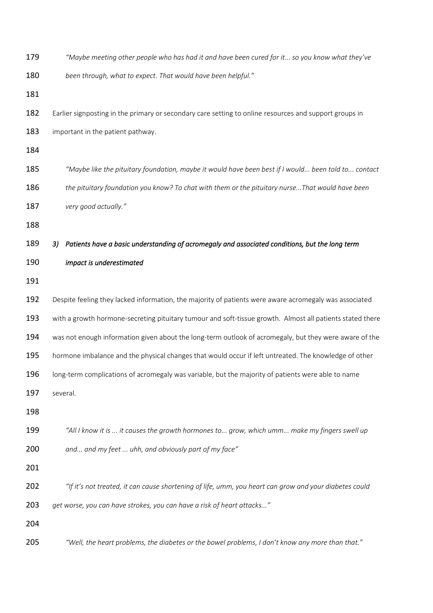| 179 | "Maybe meeting other people who has had it and have been cured for it so you know what they've            |
|-----|-----------------------------------------------------------------------------------------------------------|
| 180 | been through, what to expect. That would have been helpful."                                              |
| 181 |                                                                                                           |
| 182 | Earlier signposting in the primary or secondary care setting to online resources and support groups in    |
| 183 | important in the patient pathway.                                                                         |
| 184 |                                                                                                           |
| 185 | "Maybe like the pituitary foundation, maybe it would have been best if I would been told to contact       |
| 186 | the pituitary foundation you know? To chat with them or the pituitary nurseThat would have been           |
| 187 | very good actually."                                                                                      |
| 188 |                                                                                                           |
| 189 | Patients have a basic understanding of acromegaly and associated conditions, but the long term<br>3)      |
| 190 | impact is underestimated                                                                                  |
| 191 |                                                                                                           |
| 192 | Despite feeling they lacked information, the majority of patients were aware acromegaly was associated    |
| 193 | with a growth hormone-secreting pituitary tumour and soft-tissue growth. Almost all patients stated there |
| 194 | was not enough information given about the long-term outlook of acromegaly, but they were aware of the    |
| 195 | hormone imbalance and the physical changes that would occur if left untreated. The knowledge of other     |
| 196 | long-term complications of acromegaly was variable, but the majority of patients were able to name        |
| 197 | several.                                                                                                  |
| 198 |                                                                                                           |
| 199 | "All I know it is  it causes the growth hormones to grow, which umm make my fingers swell up              |
| 200 | and and my feet  uhh, and obviously part of my face"                                                      |
| 201 |                                                                                                           |
| 202 | "If it's not treated, it can cause shortening of life, umm, you heart can grow and your diabetes could    |
| 203 | get worse, you can have strokes, you can have a risk of heart attacks"                                    |
| 204 |                                                                                                           |
| 205 | "Well, the heart problems, the diabetes or the bowel problems, I don't know any more than that."          |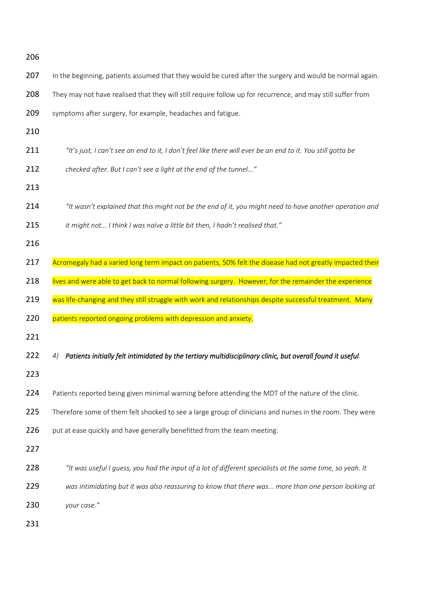| 206        |                                                                                                                  |
|------------|------------------------------------------------------------------------------------------------------------------|
| 207        | In the beginning, patients assumed that they would be cured after the surgery and would be normal again.         |
| 208        | They may not have realised that they will still require follow up for recurrence, and may still suffer from      |
| 209        | symptoms after surgery, for example, headaches and fatigue.                                                      |
| 210        |                                                                                                                  |
| 211        | "It's just, I can't see an end to it, I don't feel like there will ever be an end to it. You still gotta be      |
| 212        | checked after. But I can't see a light at the end of the tunnel"                                                 |
| 213        |                                                                                                                  |
| 214        | "It wasn't explained that this might not be the end of it, you might need to have another operation and          |
| 215        | it might not I think I was naïve a little bit then, I hadn't realised that."                                     |
| 216        |                                                                                                                  |
| 217        | Acromegaly had a varied long term impact on patients, 50% felt the disease had not greatly impacted their        |
| 218        | lives and were able to get back to normal following surgery. However, for the remainder the experience           |
| 219        | was life-changing and they still struggle with work and relationships despite successful treatment. Many         |
| 220        | patients reported ongoing problems with depression and anxiety.                                                  |
| 221        |                                                                                                                  |
| 222        |                                                                                                                  |
|            | Patients initially felt intimidated by the tertiary multidisciplinary clinic, but overall found it useful.<br>4) |
|            |                                                                                                                  |
| 223<br>224 | Patients reported being given minimal warning before attending the MDT of the nature of the clinic.              |
| 225        | Therefore some of them felt shocked to see a large group of clinicians and nurses in the room. They were         |
| 226        | put at ease quickly and have generally benefitted from the team meeting.                                         |
| 227        |                                                                                                                  |
| 228        | "It was useful I guess, you had the input of a lot of different specialists at the same time, so yeah. It        |
| 229        | was intimidating but it was also reassuring to know that there was more than one person looking at               |
| 230        | your case."                                                                                                      |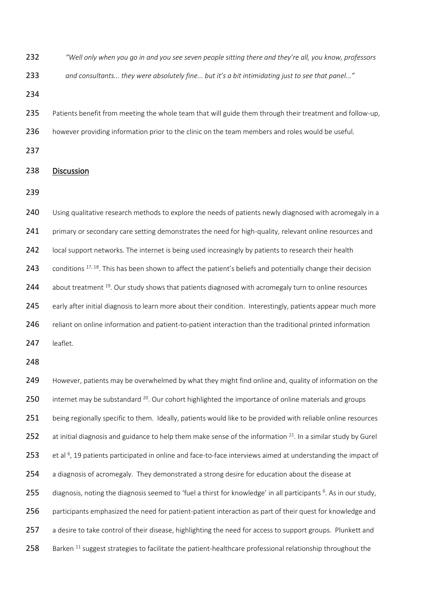| 232 | "Well only when you go in and you see seven people sitting there and they're all, you know, professors                      |
|-----|-----------------------------------------------------------------------------------------------------------------------------|
| 233 | and consultants they were absolutely fine but it's a bit intimidating just to see that panel"                               |
| 234 |                                                                                                                             |
| 235 | Patients benefit from meeting the whole team that will guide them through their treatment and follow-up,                    |
| 236 | however providing information prior to the clinic on the team members and roles would be useful.                            |
| 237 |                                                                                                                             |
| 238 | Discussion                                                                                                                  |
| 239 |                                                                                                                             |
| 240 | Using qualitative research methods to explore the needs of patients newly diagnosed with acromegaly in a                    |
| 241 | primary or secondary care setting demonstrates the need for high-quality, relevant online resources and                     |
| 242 | local support networks. The internet is being used increasingly by patients to research their health                        |
| 243 | conditions <sup>17, 18</sup> . This has been shown to affect the patient's beliefs and potentially change their decision    |
| 244 | about treatment <sup>19</sup> . Our study shows that patients diagnosed with acromegaly turn to online resources            |
| 245 | early after initial diagnosis to learn more about their condition. Interestingly, patients appear much more                 |
| 246 | reliant on online information and patient-to-patient interaction than the traditional printed information                   |
| 247 | leaflet.                                                                                                                    |
| 248 |                                                                                                                             |
| 249 | However, patients may be overwhelmed by what they might find online and, quality of information on the                      |
| 250 | internet may be substandard <sup>20</sup> . Our cohort highlighted the importance of online materials and groups            |
| 251 | being regionally specific to them. Ideally, patients would like to be provided with reliable online resources               |
| 252 | at initial diagnosis and guidance to help them make sense of the information $21$ . In a similar study by Gurel             |
| 253 | et al <sup>6</sup> , 19 patients participated in online and face-to-face interviews aimed at understanding the impact of    |
| 254 | a diagnosis of acromegaly. They demonstrated a strong desire for education about the disease at                             |
| 255 | diagnosis, noting the diagnosis seemed to 'fuel a thirst for knowledge' in all participants <sup>6</sup> . As in our study, |
| 256 | participants emphasized the need for patient-patient interaction as part of their quest for knowledge and                   |
| 257 | a desire to take control of their disease, highlighting the need for access to support groups. Plunkett and                 |
| 258 | Barken <sup>11</sup> suggest strategies to facilitate the patient-healthcare professional relationship throughout the       |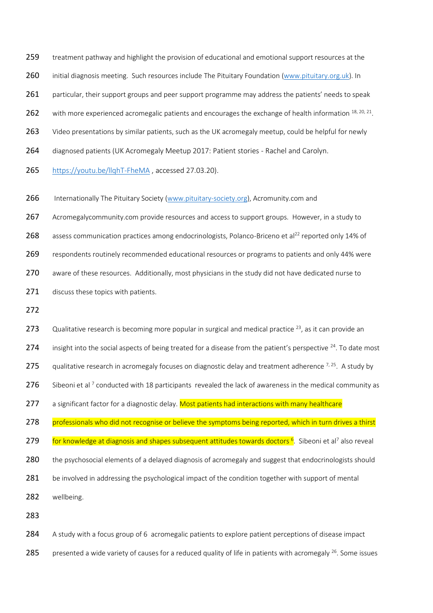259 treatment pathway and highlight the provision of educational and emotional support resources at the

260 initial diagnosis meeting. Such resources include The Pituitary Foundation [\(www.pituitary.org.uk\)](http://www.pituitary.org.uk/). In

261 particular, their support groups and peer support programme may address the patients' needs to speak

262 with more experienced acromegalic patients and encourages the exchange of health information  $18, 20, 21$ .

263 Video presentations by similar patients, such as the UK acromegaly meetup, could be helpful for newly

264 diagnosed patients (UK Acromegaly Meetup 2017: Patient stories - Rachel and Carolyn.

265 <https://youtu.be/llqhT-FheMA> , accessed 27.03.20).

266 Internationally The Pituitary Society [\(www.pituitary-society.org\)](http://www.pituitary-society.org/), Acromunity.com and

267 Acromegalycommunity.com provide resources and access to support groups. However, in a study to

268 assess communication practices among endocrinologists, Polanco-Briceno et al<sup>22</sup> reported only 14% of

269 respondents routinely recommended educational resources or programs to patients and only 44% were

270 aware of these resources. Additionally, most physicians in the study did not have dedicated nurse to

271 discuss these topics with patients.

272

273 Cualitative research is becoming more popular in surgical and medical practice  $^{23}$ , as it can provide an 274 insight into the social aspects of being treated for a disease from the patient's perspective  $24$ . To date most 275 qualitative research in acromegaly focuses on diagnostic delay and treatment adherence  $^{7,25}$ . A study by 276 Sibeoni et al<sup>7</sup> conducted with 18 participants revealed the lack of awareness in the medical community as 277 a significant factor for a diagnostic delay. Most patients had interactions with many healthcare 278 professionals who did not recognise or believe the symptoms being reported, which in turn drives a thirst 279 For knowledge at diagnosis and shapes subsequent attitudes towards doctors <sup>6</sup>. Sibeoni et al<sup>7</sup> also reveal 280 the psychosocial elements of a delayed diagnosis of acromegaly and suggest that endocrinologists should 281 be involved in addressing the psychological impact of the condition together with support of mental 282 wellbeing.

283

284 A study with a focus group of 6 acromegalic patients to explore patient perceptions of disease impact

285 presented a wide variety of causes for a reduced quality of life in patients with acromegaly <sup>26</sup>. Some issues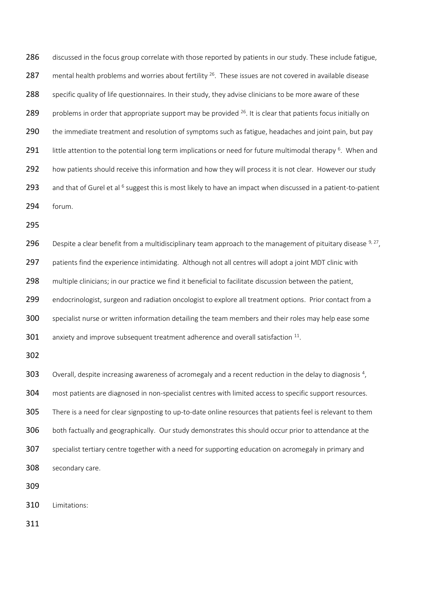286 discussed in the focus group correlate with those reported by patients in our study. These include fatigue, 287 mental health problems and worries about fertility  $26$ . These issues are not covered in available disease 288 specific quality of life questionnaires. In their study, they advise clinicians to be more aware of these 289 problems in order that appropriate support may be provided  $26$ . It is clear that patients focus initially on 290 the immediate treatment and resolution of symptoms such as fatigue, headaches and joint pain, but pay 291 little attention to the potential long term implications or need for future multimodal therapy <sup>6</sup>. When and 292 how patients should receive this information and how they will process it is not clear. However our study 293 and that of Gurel et al  $6$  suggest this is most likely to have an impact when discussed in a patient-to-patient 294 forum.

295

296 Despite a clear benefit from a multidisciplinary team approach to the management of pituitary disease  $9,27$ , 297 patients find the experience intimidating. Although not all centres will adopt a joint MDT clinic with 298 multiple clinicians; in our practice we find it beneficial to facilitate discussion between the patient, 299 endocrinologist, surgeon and radiation oncologist to explore all treatment options. Prior contact from a 300 specialist nurse or written information detailing the team members and their roles may help ease some  $301$  anxiety and improve subsequent treatment adherence and overall satisfaction  $^{11}$ .

302

Overall, despite increasing awareness of acromegaly and a recent reduction in the delay to diagnosis<sup>4</sup>, 304 most patients are diagnosed in non-specialist centres with limited access to specific support resources. 305 There is a need for clear signposting to up-to-date online resources that patients feel is relevant to them 306 both factually and geographically. Our study demonstrates this should occur prior to attendance at the 307 specialist tertiary centre together with a need for supporting education on acromegaly in primary and 308 secondary care.

309

310 Limitations:

311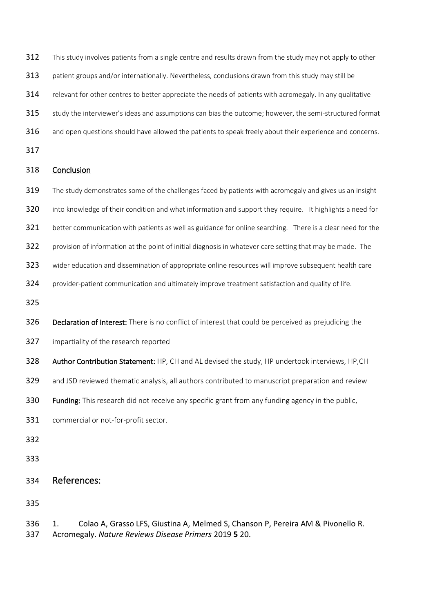- This study involves patients from a single centre and results drawn from the study may not apply to other
- patient groups and/or internationally. Nevertheless, conclusions drawn from this study may still be
- 314 relevant for other centres to better appreciate the needs of patients with acromegaly. In any qualitative
- study the interviewer's ideas and assumptions can bias the outcome; however, the semi-structured format
- 316 and open questions should have allowed the patients to speak freely about their experience and concerns.
- 

## Conclusion

- 319 The study demonstrates some of the challenges faced by patients with acromegaly and gives us an insight
- into knowledge of their condition and what information and support they require. It highlights a need for
- 321 better communication with patients as well as guidance for online searching. There is a clear need for the
- provision of information at the point of initial diagnosis in whatever care setting that may be made. The
- wider education and dissemination of appropriate online resources will improve subsequent health care
- provider-patient communication and ultimately improve treatment satisfaction and quality of life.
- 
- 326 Declaration of Interest: There is no conflict of interest that could be perceived as prejudicing the
- impartiality of the research reported
- 328 Author Contribution Statement: HP, CH and AL devised the study, HP undertook interviews, HP, CH
- and JSD reviewed thematic analysis, all authors contributed to manuscript preparation and review
- 330 Funding: This research did not receive any specific grant from any funding agency in the public,
- commercial or not-for-profit sector.
- 
- 
- References:

 1. Colao A, Grasso LFS, Giustina A, Melmed S, Chanson P, Pereira AM & Pivonello R. Acromegaly. *Nature Reviews Disease Primers* 2019 **5** 20.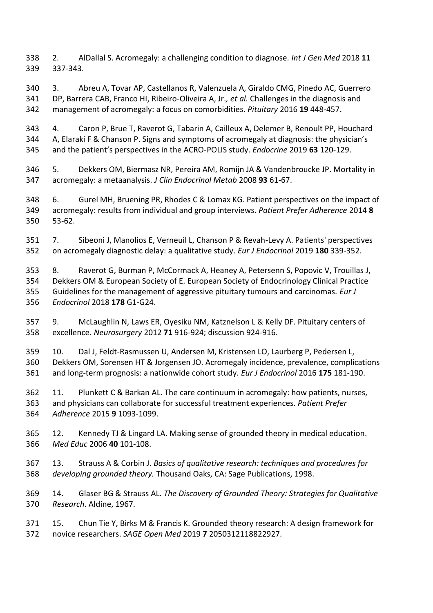2. AlDallal S. Acromegaly: a challenging condition to diagnose. *Int J Gen Med* 2018 **11** 337-343.

 3. Abreu A, Tovar AP, Castellanos R, Valenzuela A, Giraldo CMG, Pinedo AC, Guerrero DP, Barrera CAB, Franco HI, Ribeiro-Oliveira A, Jr.*, et al.* Challenges in the diagnosis and management of acromegaly: a focus on comorbidities. *Pituitary* 2016 **19** 448-457.

 4. Caron P, Brue T, Raverot G, Tabarin A, Cailleux A, Delemer B, Renoult PP, Houchard A, Elaraki F & Chanson P. Signs and symptoms of acromegaly at diagnosis: the physician's and the patient's perspectives in the ACRO-POLIS study. *Endocrine* 2019 **63** 120-129.

 5. Dekkers OM, Biermasz NR, Pereira AM, Romijn JA & Vandenbroucke JP. Mortality in acromegaly: a metaanalysis. *J Clin Endocrinol Metab* 2008 **93** 61-67.

 6. Gurel MH, Bruening PR, Rhodes C & Lomax KG. Patient perspectives on the impact of acromegaly: results from individual and group interviews. *Patient Prefer Adherence* 2014 **8** 53-62.

 7. Sibeoni J, Manolios E, Verneuil L, Chanson P & Revah-Levy A. Patients' perspectives on acromegaly diagnostic delay: a qualitative study. *Eur J Endocrinol* 2019 **180** 339-352.

 8. Raverot G, Burman P, McCormack A, Heaney A, Petersenn S, Popovic V, Trouillas J, Dekkers OM & European Society of E. European Society of Endocrinology Clinical Practice Guidelines for the management of aggressive pituitary tumours and carcinomas. *Eur J Endocrinol* 2018 **178** G1-G24.

 9. McLaughlin N, Laws ER, Oyesiku NM, Katznelson L & Kelly DF. Pituitary centers of excellence. *Neurosurgery* 2012 **71** 916-924; discussion 924-916.

 10. Dal J, Feldt-Rasmussen U, Andersen M, Kristensen LO, Laurberg P, Pedersen L, Dekkers OM, Sorensen HT & Jorgensen JO. Acromegaly incidence, prevalence, complications and long-term prognosis: a nationwide cohort study. *Eur J Endocrinol* 2016 **175** 181-190.

 11. Plunkett C & Barkan AL. The care continuum in acromegaly: how patients, nurses, and physicians can collaborate for successful treatment experiences. *Patient Prefer Adherence* 2015 **9** 1093-1099.

 12. Kennedy TJ & Lingard LA. Making sense of grounded theory in medical education. *Med Educ* 2006 **40** 101-108.

 13. Strauss A & Corbin J. *Basics of qualitative research: techniques and procedures for developing grounded theory.* Thousand Oaks, CA: Sage Publications, 1998.

 14. Glaser BG & Strauss AL. *The Discovery of Grounded Theory: Strategies for Qualitative Research*. Aldine, 1967.

 15. Chun Tie Y, Birks M & Francis K. Grounded theory research: A design framework for novice researchers. *SAGE Open Med* 2019 **7** 2050312118822927.